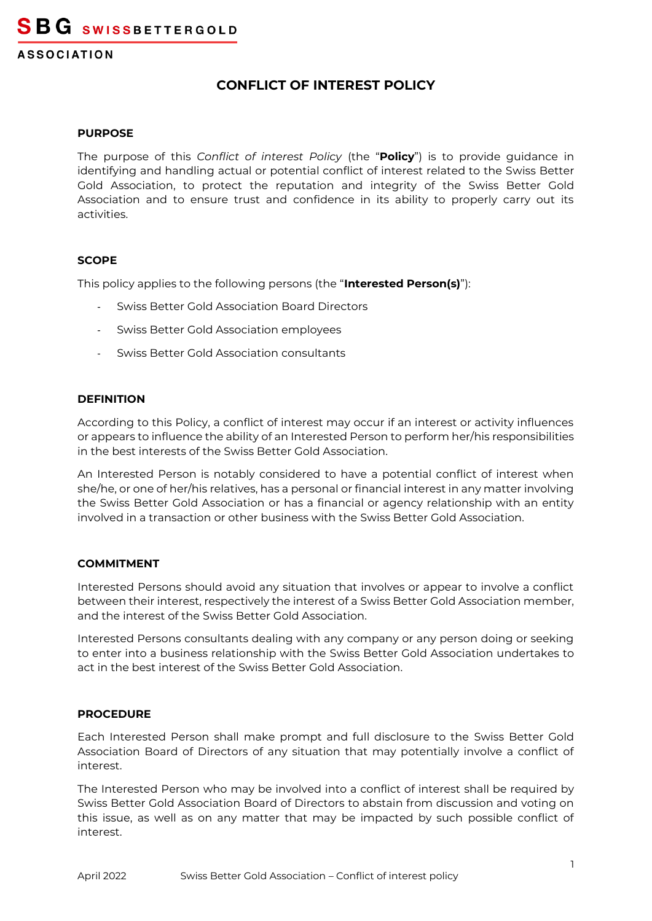# **CONFLICT OF INTEREST POLICY**

#### **PURPOSE**

The purpose of this *Conflict of interest Policy* (the "**Policy**") is to provide guidance in identifying and handling actual or potential conflict of interest related to the Swiss Better Gold Association, to protect the reputation and integrity of the Swiss Better Gold Association and to ensure trust and confidence in its ability to properly carry out its activities.

# **SCOPE**

This policy applies to the following persons (the "**Interested Person(s)**"):

- Swiss Better Gold Association Board Directors
- Swiss Better Gold Association employees
- Swiss Better Gold Association consultants

# **DEFINITION**

According to this Policy, a conflict of interest may occur if an interest or activity influences or appears to influence the ability of an Interested Person to perform her/his responsibilities in the best interests of the Swiss Better Gold Association.

An Interested Person is notably considered to have a potential conflict of interest when she/he, or one of her/his relatives, has a personal or financial interest in any matter involving the Swiss Better Gold Association or has a financial or agency relationship with an entity involved in a transaction or other business with the Swiss Better Gold Association.

# **COMMITMENT**

Interested Persons should avoid any situation that involves or appear to involve a conflict between their interest, respectively the interest of a Swiss Better Gold Association member, and the interest of the Swiss Better Gold Association.

Interested Persons consultants dealing with any company or any person doing or seeking to enter into a business relationship with the Swiss Better Gold Association undertakes to act in the best interest of the Swiss Better Gold Association.

# **PROCEDURE**

Each Interested Person shall make prompt and full disclosure to the Swiss Better Gold Association Board of Directors of any situation that may potentially involve a conflict of interest.

The Interested Person who may be involved into a conflict of interest shall be required by Swiss Better Gold Association Board of Directors to abstain from discussion and voting on this issue, as well as on any matter that may be impacted by such possible conflict of interest.